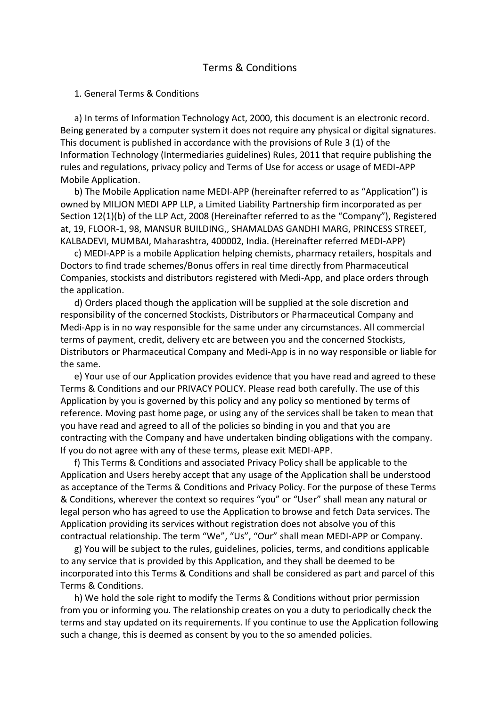# Terms & Conditions

#### 1. General Terms & Conditions

 a) In terms of Information Technology Act, 2000, this document is an electronic record. Being generated by a computer system it does not require any physical or digital signatures. This document is published in accordance with the provisions of Rule 3 (1) of the Information Technology (Intermediaries guidelines) Rules, 2011 that require publishing the rules and regulations, privacy policy and Terms of Use for access or usage of MEDI-APP Mobile Application.

 b) The Mobile Application name MEDI-APP (hereinafter referred to as "Application") is owned by MILJON MEDI APP LLP, a Limited Liability Partnership firm incorporated as per Section 12(1)(b) of the LLP Act, 2008 (Hereinafter referred to as the "Company"), Registered at, 19, FLOOR-1, 98, MANSUR BUILDING,, SHAMALDAS GANDHI MARG, PRINCESS STREET, KALBADEVI, MUMBAI, Maharashtra, 400002, India. (Hereinafter referred MEDI-APP)

 c) MEDI-APP is a mobile Application helping chemists, pharmacy retailers, hospitals and Doctors to find trade schemes/Bonus offers in real time directly from Pharmaceutical Companies, stockists and distributors registered with Medi-App, and place orders through the application.

 d) Orders placed though the application will be supplied at the sole discretion and responsibility of the concerned Stockists, Distributors or Pharmaceutical Company and Medi-App is in no way responsible for the same under any circumstances. All commercial terms of payment, credit, delivery etc are between you and the concerned Stockists, Distributors or Pharmaceutical Company and Medi-App is in no way responsible or liable for the same.

 e) Your use of our Application provides evidence that you have read and agreed to these Terms & Conditions and our PRIVACY POLICY. Please read both carefully. The use of this Application by you is governed by this policy and any policy so mentioned by terms of reference. Moving past home page, or using any of the services shall be taken to mean that you have read and agreed to all of the policies so binding in you and that you are contracting with the Company and have undertaken binding obligations with the company. If you do not agree with any of these terms, please exit MEDI-APP.

 f) This Terms & Conditions and associated Privacy Policy shall be applicable to the Application and Users hereby accept that any usage of the Application shall be understood as acceptance of the Terms & Conditions and Privacy Policy. For the purpose of these Terms & Conditions, wherever the context so requires "you" or "User" shall mean any natural or legal person who has agreed to use the Application to browse and fetch Data services. The Application providing its services without registration does not absolve you of this contractual relationship. The term "We", "Us", "Our" shall mean MEDI-APP or Company.

 g) You will be subject to the rules, guidelines, policies, terms, and conditions applicable to any service that is provided by this Application, and they shall be deemed to be incorporated into this Terms & Conditions and shall be considered as part and parcel of this Terms & Conditions.

 h) We hold the sole right to modify the Terms & Conditions without prior permission from you or informing you. The relationship creates on you a duty to periodically check the terms and stay updated on its requirements. If you continue to use the Application following such a change, this is deemed as consent by you to the so amended policies.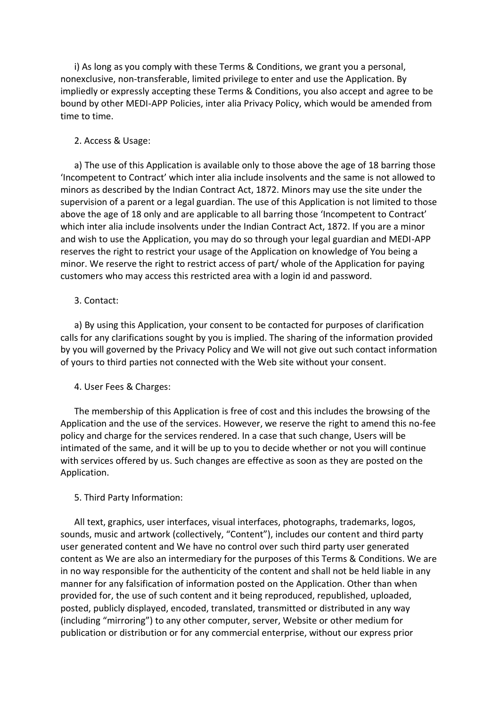i) As long as you comply with these Terms & Conditions, we grant you a personal, nonexclusive, non-transferable, limited privilege to enter and use the Application. By impliedly or expressly accepting these Terms & Conditions, you also accept and agree to be bound by other MEDI-APP Policies, inter alia Privacy Policy, which would be amended from time to time.

### 2. Access & Usage:

 a) The use of this Application is available only to those above the age of 18 barring those 'Incompetent to Contract' which inter alia include insolvents and the same is not allowed to minors as described by the Indian Contract Act, 1872. Minors may use the site under the supervision of a parent or a legal guardian. The use of this Application is not limited to those above the age of 18 only and are applicable to all barring those 'Incompetent to Contract' which inter alia include insolvents under the Indian Contract Act, 1872. If you are a minor and wish to use the Application, you may do so through your legal guardian and MEDI-APP reserves the right to restrict your usage of the Application on knowledge of You being a minor. We reserve the right to restrict access of part/ whole of the Application for paying customers who may access this restricted area with a login id and password.

### 3. Contact:

 a) By using this Application, your consent to be contacted for purposes of clarification calls for any clarifications sought by you is implied. The sharing of the information provided by you will governed by the Privacy Policy and We will not give out such contact information of yours to third parties not connected with the Web site without your consent.

### 4. User Fees & Charges:

 The membership of this Application is free of cost and this includes the browsing of the Application and the use of the services. However, we reserve the right to amend this no-fee policy and charge for the services rendered. In a case that such change, Users will be intimated of the same, and it will be up to you to decide whether or not you will continue with services offered by us. Such changes are effective as soon as they are posted on the Application.

### 5. Third Party Information:

 All text, graphics, user interfaces, visual interfaces, photographs, trademarks, logos, sounds, music and artwork (collectively, "Content"), includes our content and third party user generated content and We have no control over such third party user generated content as We are also an intermediary for the purposes of this Terms & Conditions. We are in no way responsible for the authenticity of the content and shall not be held liable in any manner for any falsification of information posted on the Application. Other than when provided for, the use of such content and it being reproduced, republished, uploaded, posted, publicly displayed, encoded, translated, transmitted or distributed in any way (including "mirroring") to any other computer, server, Website or other medium for publication or distribution or for any commercial enterprise, without our express prior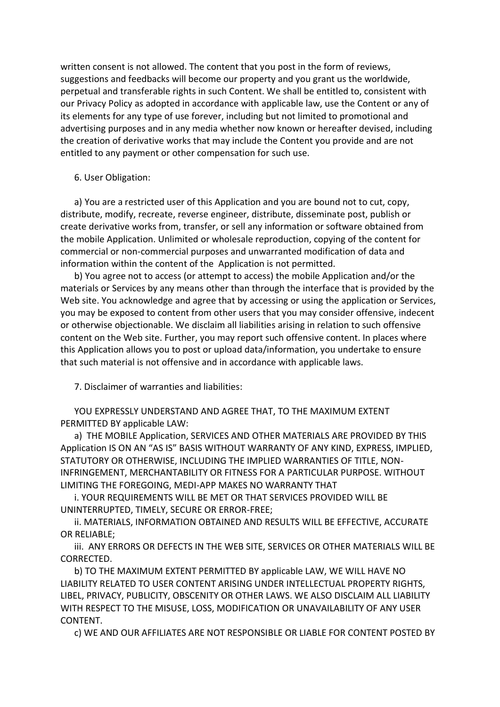written consent is not allowed. The content that you post in the form of reviews, suggestions and feedbacks will become our property and you grant us the worldwide, perpetual and transferable rights in such Content. We shall be entitled to, consistent with our Privacy Policy as adopted in accordance with applicable law, use the Content or any of its elements for any type of use forever, including but not limited to promotional and advertising purposes and in any media whether now known or hereafter devised, including the creation of derivative works that may include the Content you provide and are not entitled to any payment or other compensation for such use.

## 6. User Obligation:

 a) You are a restricted user of this Application and you are bound not to cut, copy, distribute, modify, recreate, reverse engineer, distribute, disseminate post, publish or create derivative works from, transfer, or sell any information or software obtained from the mobile Application. Unlimited or wholesale reproduction, copying of the content for commercial or non-commercial purposes and unwarranted modification of data and information within the content of the Application is not permitted.

 b) You agree not to access (or attempt to access) the mobile Application and/or the materials or Services by any means other than through the interface that is provided by the Web site. You acknowledge and agree that by accessing or using the application or Services, you may be exposed to content from other users that you may consider offensive, indecent or otherwise objectionable. We disclaim all liabilities arising in relation to such offensive content on the Web site. Further, you may report such offensive content. In places where this Application allows you to post or upload data/information, you undertake to ensure that such material is not offensive and in accordance with applicable laws.

7. Disclaimer of warranties and liabilities:

 YOU EXPRESSLY UNDERSTAND AND AGREE THAT, TO THE MAXIMUM EXTENT PERMITTED BY applicable LAW:

 a) THE MOBILE Application, SERVICES AND OTHER MATERIALS ARE PROVIDED BY THIS Application IS ON AN "AS IS" BASIS WITHOUT WARRANTY OF ANY KIND, EXPRESS, IMPLIED, STATUTORY OR OTHERWISE, INCLUDING THE IMPLIED WARRANTIES OF TITLE, NON-INFRINGEMENT, MERCHANTABILITY OR FITNESS FOR A PARTICULAR PURPOSE. WITHOUT LIMITING THE FOREGOING, MEDI-APP MAKES NO WARRANTY THAT

 i. YOUR REQUIREMENTS WILL BE MET OR THAT SERVICES PROVIDED WILL BE UNINTERRUPTED, TIMELY, SECURE OR ERROR-FREE;

 ii. MATERIALS, INFORMATION OBTAINED AND RESULTS WILL BE EFFECTIVE, ACCURATE OR RELIABLE;

 iii. ANY ERRORS OR DEFECTS IN THE WEB SITE, SERVICES OR OTHER MATERIALS WILL BE CORRECTED.

 b) TO THE MAXIMUM EXTENT PERMITTED BY applicable LAW, WE WILL HAVE NO LIABILITY RELATED TO USER CONTENT ARISING UNDER INTELLECTUAL PROPERTY RIGHTS, LIBEL, PRIVACY, PUBLICITY, OBSCENITY OR OTHER LAWS. WE ALSO DISCLAIM ALL LIABILITY WITH RESPECT TO THE MISUSE, LOSS, MODIFICATION OR UNAVAILABILITY OF ANY USER CONTENT.

c) WE AND OUR AFFILIATES ARE NOT RESPONSIBLE OR LIABLE FOR CONTENT POSTED BY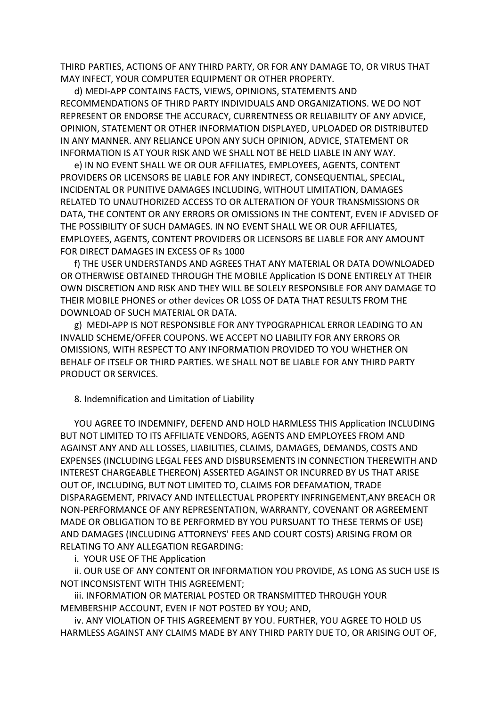THIRD PARTIES, ACTIONS OF ANY THIRD PARTY, OR FOR ANY DAMAGE TO, OR VIRUS THAT MAY INFECT, YOUR COMPUTER EQUIPMENT OR OTHER PROPERTY.

 d) MEDI-APP CONTAINS FACTS, VIEWS, OPINIONS, STATEMENTS AND RECOMMENDATIONS OF THIRD PARTY INDIVIDUALS AND ORGANIZATIONS. WE DO NOT REPRESENT OR ENDORSE THE ACCURACY, CURRENTNESS OR RELIABILITY OF ANY ADVICE, OPINION, STATEMENT OR OTHER INFORMATION DISPLAYED, UPLOADED OR DISTRIBUTED IN ANY MANNER. ANY RELIANCE UPON ANY SUCH OPINION, ADVICE, STATEMENT OR INFORMATION IS AT YOUR RISK AND WE SHALL NOT BE HELD LIABLE IN ANY WAY.

 e) IN NO EVENT SHALL WE OR OUR AFFILIATES, EMPLOYEES, AGENTS, CONTENT PROVIDERS OR LICENSORS BE LIABLE FOR ANY INDIRECT, CONSEQUENTIAL, SPECIAL, INCIDENTAL OR PUNITIVE DAMAGES INCLUDING, WITHOUT LIMITATION, DAMAGES RELATED TO UNAUTHORIZED ACCESS TO OR ALTERATION OF YOUR TRANSMISSIONS OR DATA, THE CONTENT OR ANY ERRORS OR OMISSIONS IN THE CONTENT, EVEN IF ADVISED OF THE POSSIBILITY OF SUCH DAMAGES. IN NO EVENT SHALL WE OR OUR AFFILIATES, EMPLOYEES, AGENTS, CONTENT PROVIDERS OR LICENSORS BE LIABLE FOR ANY AMOUNT FOR DIRECT DAMAGES IN EXCESS OF Rs 1000

 f) THE USER UNDERSTANDS AND AGREES THAT ANY MATERIAL OR DATA DOWNLOADED OR OTHERWISE OBTAINED THROUGH THE MOBILE Application IS DONE ENTIRELY AT THEIR OWN DISCRETION AND RISK AND THEY WILL BE SOLELY RESPONSIBLE FOR ANY DAMAGE TO THEIR MOBILE PHONES or other devices OR LOSS OF DATA THAT RESULTS FROM THE DOWNLOAD OF SUCH MATERIAL OR DATA.

 g) MEDI-APP IS NOT RESPONSIBLE FOR ANY TYPOGRAPHICAL ERROR LEADING TO AN INVALID SCHEME/OFFER COUPONS. WE ACCEPT NO LIABILITY FOR ANY ERRORS OR OMISSIONS, WITH RESPECT TO ANY INFORMATION PROVIDED TO YOU WHETHER ON BEHALF OF ITSELF OR THIRD PARTIES. WE SHALL NOT BE LIABLE FOR ANY THIRD PARTY PRODUCT OR SERVICES.

8. Indemnification and Limitation of Liability

 YOU AGREE TO INDEMNIFY, DEFEND AND HOLD HARMLESS THIS Application INCLUDING BUT NOT LIMITED TO ITS AFFILIATE VENDORS, AGENTS AND EMPLOYEES FROM AND AGAINST ANY AND ALL LOSSES, LIABILITIES, CLAIMS, DAMAGES, DEMANDS, COSTS AND EXPENSES (INCLUDING LEGAL FEES AND DISBURSEMENTS IN CONNECTION THEREWITH AND INTEREST CHARGEABLE THEREON) ASSERTED AGAINST OR INCURRED BY US THAT ARISE OUT OF, INCLUDING, BUT NOT LIMITED TO, CLAIMS FOR DEFAMATION, TRADE DISPARAGEMENT, PRIVACY AND INTELLECTUAL PROPERTY INFRINGEMENT,ANY BREACH OR NON-PERFORMANCE OF ANY REPRESENTATION, WARRANTY, COVENANT OR AGREEMENT MADE OR OBLIGATION TO BE PERFORMED BY YOU PURSUANT TO THESE TERMS OF USE) AND DAMAGES (INCLUDING ATTORNEYS' FEES AND COURT COSTS) ARISING FROM OR RELATING TO ANY ALLEGATION REGARDING:

i. YOUR USE OF THE Application

 ii. OUR USE OF ANY CONTENT OR INFORMATION YOU PROVIDE, AS LONG AS SUCH USE IS NOT INCONSISTENT WITH THIS AGREEMENT;

 iii. INFORMATION OR MATERIAL POSTED OR TRANSMITTED THROUGH YOUR MEMBERSHIP ACCOUNT, EVEN IF NOT POSTED BY YOU; AND,

 iv. ANY VIOLATION OF THIS AGREEMENT BY YOU. FURTHER, YOU AGREE TO HOLD US HARMLESS AGAINST ANY CLAIMS MADE BY ANY THIRD PARTY DUE TO, OR ARISING OUT OF,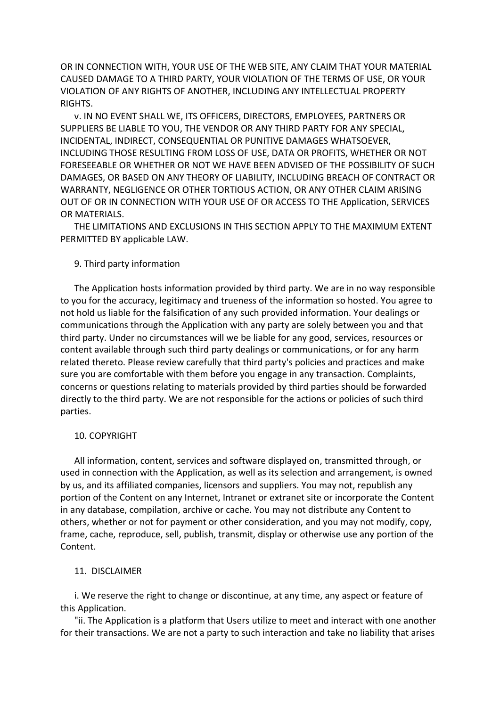OR IN CONNECTION WITH, YOUR USE OF THE WEB SITE, ANY CLAIM THAT YOUR MATERIAL CAUSED DAMAGE TO A THIRD PARTY, YOUR VIOLATION OF THE TERMS OF USE, OR YOUR VIOLATION OF ANY RIGHTS OF ANOTHER, INCLUDING ANY INTELLECTUAL PROPERTY RIGHTS.

 v. IN NO EVENT SHALL WE, ITS OFFICERS, DIRECTORS, EMPLOYEES, PARTNERS OR SUPPLIERS BE LIABLE TO YOU, THE VENDOR OR ANY THIRD PARTY FOR ANY SPECIAL, INCIDENTAL, INDIRECT, CONSEQUENTIAL OR PUNITIVE DAMAGES WHATSOEVER, INCLUDING THOSE RESULTING FROM LOSS OF USE, DATA OR PROFITS, WHETHER OR NOT FORESEEABLE OR WHETHER OR NOT WE HAVE BEEN ADVISED OF THE POSSIBILITY OF SUCH DAMAGES, OR BASED ON ANY THEORY OF LIABILITY, INCLUDING BREACH OF CONTRACT OR WARRANTY, NEGLIGENCE OR OTHER TORTIOUS ACTION, OR ANY OTHER CLAIM ARISING OUT OF OR IN CONNECTION WITH YOUR USE OF OR ACCESS TO THE Application, SERVICES OR MATERIALS.

 THE LIMITATIONS AND EXCLUSIONS IN THIS SECTION APPLY TO THE MAXIMUM EXTENT PERMITTED BY applicable LAW.

### 9. Third party information

 The Application hosts information provided by third party. We are in no way responsible to you for the accuracy, legitimacy and trueness of the information so hosted. You agree to not hold us liable for the falsification of any such provided information. Your dealings or communications through the Application with any party are solely between you and that third party. Under no circumstances will we be liable for any good, services, resources or content available through such third party dealings or communications, or for any harm related thereto. Please review carefully that third party's policies and practices and make sure you are comfortable with them before you engage in any transaction. Complaints, concerns or questions relating to materials provided by third parties should be forwarded directly to the third party. We are not responsible for the actions or policies of such third parties.

### 10. COPYRIGHT

 All information, content, services and software displayed on, transmitted through, or used in connection with the Application, as well as its selection and arrangement, is owned by us, and its affiliated companies, licensors and suppliers. You may not, republish any portion of the Content on any Internet, Intranet or extranet site or incorporate the Content in any database, compilation, archive or cache. You may not distribute any Content to others, whether or not for payment or other consideration, and you may not modify, copy, frame, cache, reproduce, sell, publish, transmit, display or otherwise use any portion of the Content.

#### 11. DISCLAIMER

 i. We reserve the right to change or discontinue, at any time, any aspect or feature of this Application.

 "ii. The Application is a platform that Users utilize to meet and interact with one another for their transactions. We are not a party to such interaction and take no liability that arises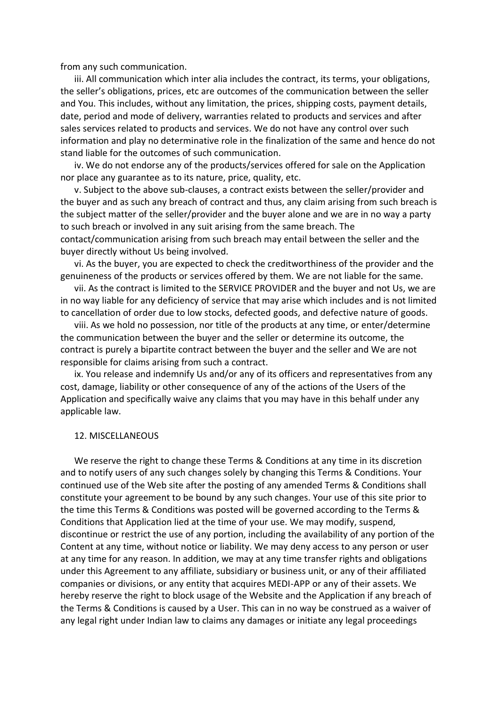from any such communication.

 iii. All communication which inter alia includes the contract, its terms, your obligations, the seller's obligations, prices, etc are outcomes of the communication between the seller and You. This includes, without any limitation, the prices, shipping costs, payment details, date, period and mode of delivery, warranties related to products and services and after sales services related to products and services. We do not have any control over such information and play no determinative role in the finalization of the same and hence do not stand liable for the outcomes of such communication.

 iv. We do not endorse any of the products/services offered for sale on the Application nor place any guarantee as to its nature, price, quality, etc.

 v. Subject to the above sub-clauses, a contract exists between the seller/provider and the buyer and as such any breach of contract and thus, any claim arising from such breach is the subject matter of the seller/provider and the buyer alone and we are in no way a party to such breach or involved in any suit arising from the same breach. The contact/communication arising from such breach may entail between the seller and the buyer directly without Us being involved.

 vi. As the buyer, you are expected to check the creditworthiness of the provider and the genuineness of the products or services offered by them. We are not liable for the same.

 vii. As the contract is limited to the SERVICE PROVIDER and the buyer and not Us, we are in no way liable for any deficiency of service that may arise which includes and is not limited to cancellation of order due to low stocks, defected goods, and defective nature of goods.

 viii. As we hold no possession, nor title of the products at any time, or enter/determine the communication between the buyer and the seller or determine its outcome, the contract is purely a bipartite contract between the buyer and the seller and We are not responsible for claims arising from such a contract.

 ix. You release and indemnify Us and/or any of its officers and representatives from any cost, damage, liability or other consequence of any of the actions of the Users of the Application and specifically waive any claims that you may have in this behalf under any applicable law.

### 12. MISCELLANEOUS

 We reserve the right to change these Terms & Conditions at any time in its discretion and to notify users of any such changes solely by changing this Terms & Conditions. Your continued use of the Web site after the posting of any amended Terms & Conditions shall constitute your agreement to be bound by any such changes. Your use of this site prior to the time this Terms & Conditions was posted will be governed according to the Terms & Conditions that Application lied at the time of your use. We may modify, suspend, discontinue or restrict the use of any portion, including the availability of any portion of the Content at any time, without notice or liability. We may deny access to any person or user at any time for any reason. In addition, we may at any time transfer rights and obligations under this Agreement to any affiliate, subsidiary or business unit, or any of their affiliated companies or divisions, or any entity that acquires MEDI-APP or any of their assets. We hereby reserve the right to block usage of the Website and the Application if any breach of the Terms & Conditions is caused by a User. This can in no way be construed as a waiver of any legal right under Indian law to claims any damages or initiate any legal proceedings